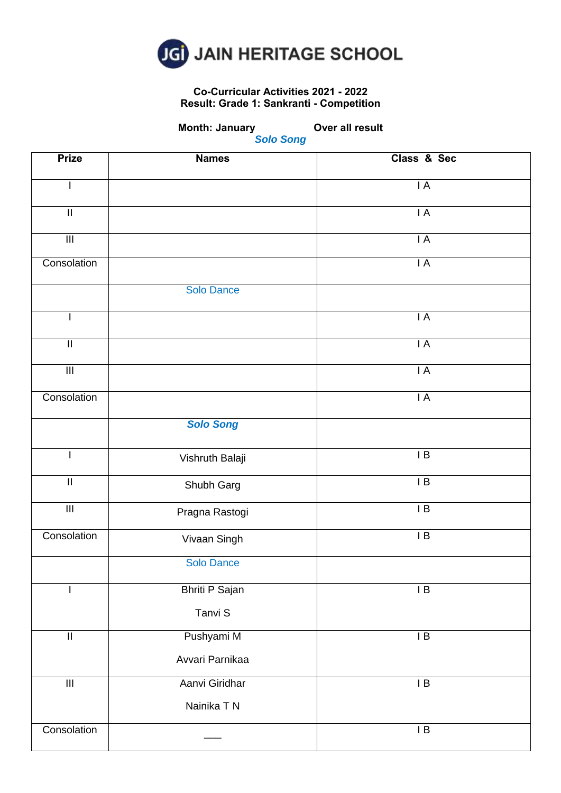

### **Co-Curricular Activities 2021 - 2022 Result: Grade 1: Sankranti - Competition**

**Month: January Cover all result** 

| <b>Prize</b>               | <b>Names</b>          | Class & Sec     |
|----------------------------|-----------------------|-----------------|
| L                          |                       | $\mathsf{I}$ A  |
| $\ensuremath{\mathsf{II}}$ |                       | IA              |
| $\overline{\mathsf{III}}$  |                       | $\mathsf{I}$ A  |
| Consolation                |                       | $\mathsf{I}$ A  |
|                            | Solo Dance            |                 |
| I                          |                       | IA              |
| $\ensuremath{\mathsf{II}}$ |                       | $\mathsf{I}$ A  |
| $\overline{\mathbb{H}}$    |                       | $\mathsf{I}$ A  |
| Consolation                |                       | $\mathsf{I}$ A  |
|                            | <b>Solo Song</b>      |                 |
| I                          | Vishruth Balaji       | $\overline{AB}$ |
| $\overline{\mathbb{I}}$    | Shubh Garg            | $\overline{AB}$ |
| $\overline{\mathsf{III}}$  | Pragna Rastogi        | $\mathsf I$ B   |
| Consolation                | Vivaan Singh          | $\mathsf{I}$ B  |
|                            | Solo Dance            |                 |
|                            | <b>Bhriti P Sajan</b> | $\mathsf{I}$ B  |
|                            | Tanvi S               |                 |
| $\overline{\mathbb{I}}$    | Pushyami M            | $\overline{AB}$ |
|                            | Avvari Parnikaa       |                 |
| $\overline{\mathsf{III}}$  | Aanvi Giridhar        | $\overline{AB}$ |
|                            | Nainika T N           |                 |
| Consolation                |                       | $\mathsf I$ B   |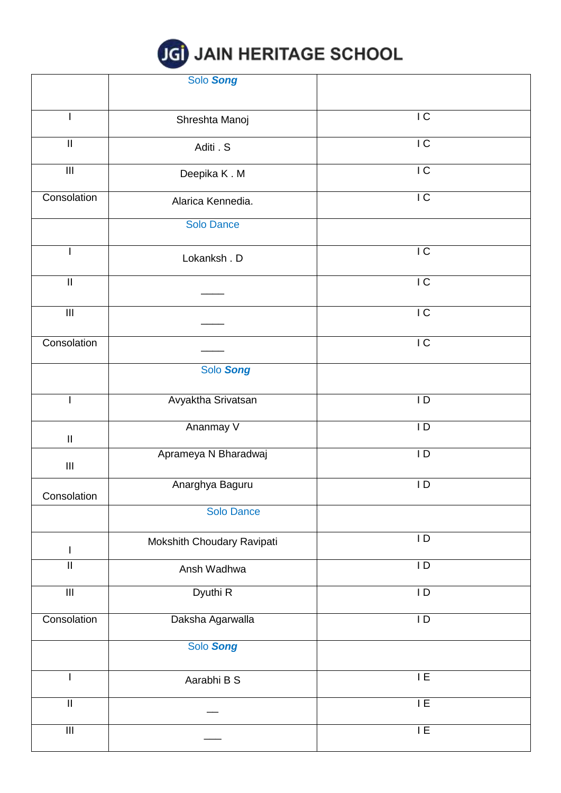|  |  |  |  | <b>JGI JAIN HERITAGE SCHOOL</b> |
|--|--|--|--|---------------------------------|
|--|--|--|--|---------------------------------|

|                            | Solo Song                  |                 |
|----------------------------|----------------------------|-----------------|
|                            |                            |                 |
|                            |                            | $\overline{C}$  |
| $\mathbf{I}$               | Shreshta Manoj             |                 |
| $\ensuremath{\mathsf{II}}$ | Aditi . S                  | $\overline{C}$  |
|                            |                            |                 |
| $\overline{\mathbb{H}}$    | Deepika K.M                | $\overline{C}$  |
|                            |                            |                 |
| Consolation                | Alarica Kennedia.          | IC              |
|                            |                            |                 |
|                            | <b>Solo Dance</b>          |                 |
|                            |                            |                 |
| $\mathbf{I}$               | Lokanksh. D                | $\overline{C}$  |
|                            |                            |                 |
| $\ensuremath{\mathsf{II}}$ |                            | $\overline{C}$  |
|                            |                            |                 |
| $\overline{\mathsf{III}}$  |                            | $\overline{C}$  |
|                            |                            |                 |
| Consolation                |                            | $\overline{C}$  |
|                            |                            |                 |
|                            | Solo Song                  |                 |
|                            |                            |                 |
| $\mathbf{I}$               | Avyaktha Srivatsan         | $\mathsf{I}$    |
|                            |                            |                 |
|                            | Ananmay V                  | $\overline{D}$  |
| $\ensuremath{\mathsf{II}}$ |                            |                 |
|                            | Aprameya N Bharadwaj       | $\overline{D}$  |
| $\mathop{\rm III}$         |                            |                 |
|                            | Anarghya Baguru            | $\mathsf{I}$    |
| Consolation                |                            |                 |
|                            | Solo Dance                 |                 |
|                            |                            |                 |
|                            | Mokshith Choudary Ravipati | $\mathsf{I}$    |
| L                          |                            |                 |
| $\sf II$                   | Ansh Wadhwa                | $\mathsf{I}$    |
|                            |                            | $\overline{1}$  |
| $\overline{\mathsf{III}}$  | Dyuthi R                   |                 |
| Consolation                | Daksha Agarwalla           | $\mathsf{I}$    |
|                            |                            |                 |
|                            | Solo Song                  |                 |
|                            |                            |                 |
| T                          |                            | $\overline{IE}$ |
|                            | Aarabhi B S                |                 |
| $\mathop{\rm II}\nolimits$ |                            | 1E              |
|                            |                            |                 |
| $\overline{\mathsf{III}}$  |                            | $\mathsf{I}\to$ |
|                            |                            |                 |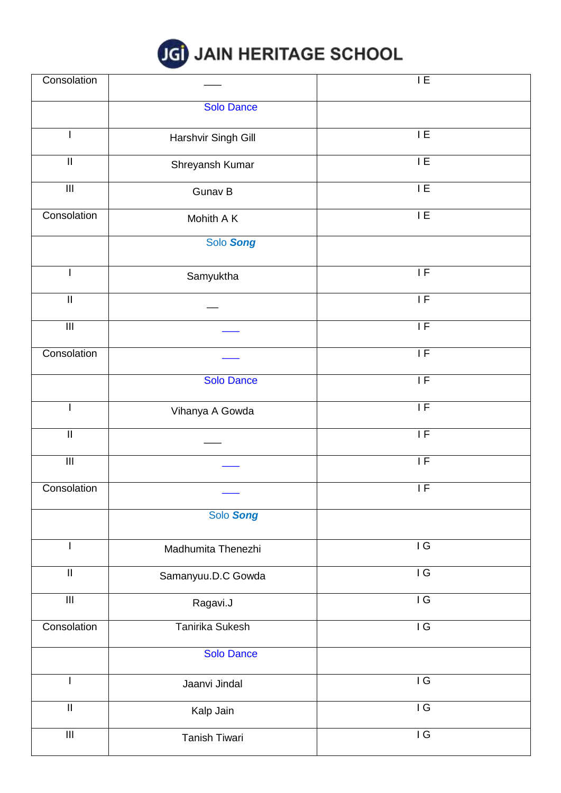

| Consolation                |                        | $\overline{1}$ E                         |
|----------------------------|------------------------|------------------------------------------|
|                            | <b>Solo Dance</b>      |                                          |
| I                          | Harshvir Singh Gill    | $\overline{I}$                           |
| $\mathbf{II}$              | Shreyansh Kumar        | 1E                                       |
| $\overline{\mathbf{m}}$    | Gunav B                | 1E                                       |
| Consolation                | Mohith A K             | E                                        |
|                            | Solo Song              |                                          |
| L                          | Samyuktha              | $\mathsf{IF}% \left( \mathcal{M}\right)$ |
| $\ensuremath{\mathsf{II}}$ |                        | $\overline{IF}$                          |
| $\overline{\mathbf{H}}$    |                        | $\overline{IF}$                          |
| Consolation                |                        | $\overline{\mathsf{IF}}$                 |
|                            | <b>Solo Dance</b>      | IF                                       |
|                            | Vihanya A Gowda        | IF                                       |
| $\mathop{\rm II}\nolimits$ |                        | IF                                       |
| $\overline{\mathbb{H}}$    |                        | $\overline{\mathsf{IF}}$                 |
| Consolation                |                        | $\overline{IF}$                          |
|                            | Solo Song              |                                          |
| $\mathbf{I}$               | Madhumita Thenezhi     | $\overline{\overline{G}}$                |
| $\ensuremath{\mathsf{II}}$ | Samanyuu.D.C Gowda     | IG                                       |
| $\overline{\mathsf{III}}$  | Ragavi.J               | IG                                       |
| Consolation                | <b>Tanirika Sukesh</b> | IG                                       |
|                            | <b>Solo Dance</b>      |                                          |
| T                          | Jaanvi Jindal          | $\overline{\overline{G}}$                |
| $\ensuremath{\mathsf{II}}$ | Kalp Jain              | $\overline{\overline{G}}$                |
| $\overline{\mathbb{H}}$    | Tanish Tiwari          | IG                                       |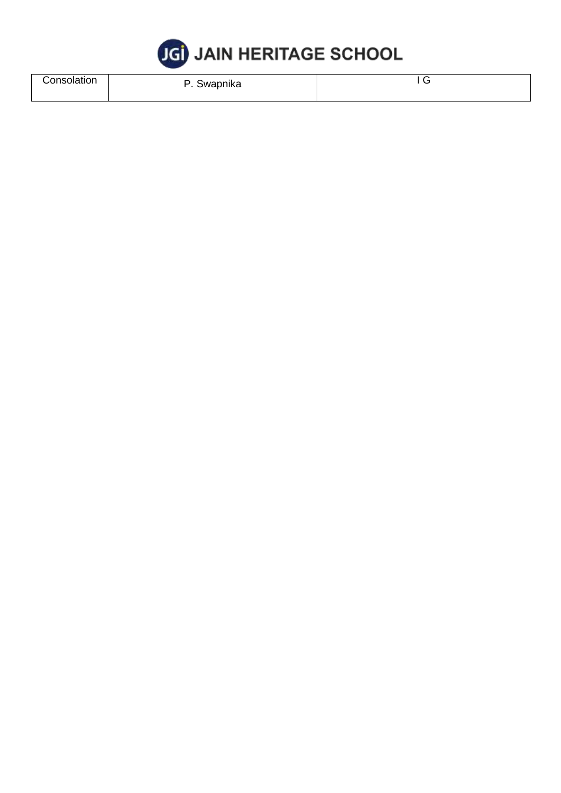

| Consolation | Swapnika<br>. . | $\check{ }$ |
|-------------|-----------------|-------------|
|             |                 |             |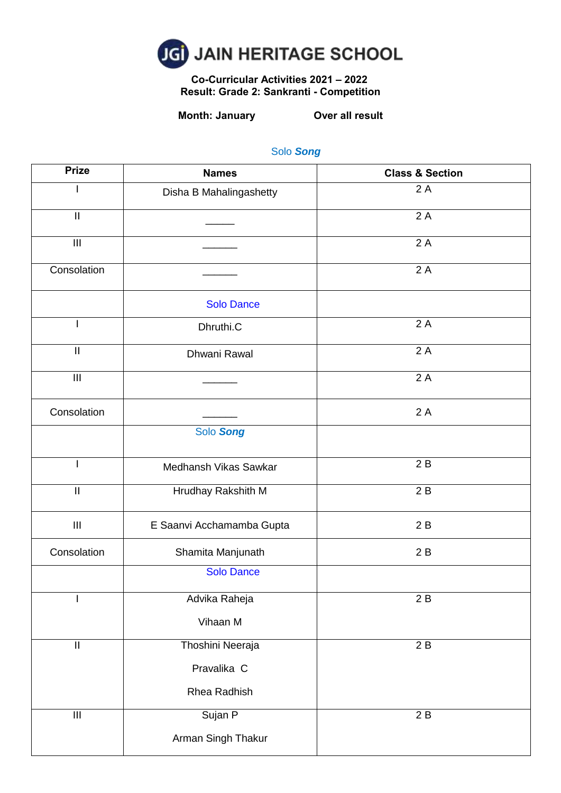

 **Co-Curricular Activities 2021 – 2022 Result: Grade 2: Sankranti - Competition**

# **Month: January Over all result**

| <b>Prize</b>                       | <b>Names</b>              | <b>Class &amp; Section</b> |
|------------------------------------|---------------------------|----------------------------|
|                                    | Disha B Mahalingashetty   | 2A                         |
| $\mathbf{  }$                      |                           | 2A                         |
| $\mathbf{III}$                     |                           | $\overline{2}$ A           |
| Consolation                        |                           | $\overline{2}$ A           |
|                                    | <b>Solo Dance</b>         |                            |
|                                    | Dhruthi.C                 | 2A                         |
| $\ensuremath{\mathsf{II}}$         | Dhwani Rawal              | 2A                         |
| $\mathbf{III}$                     |                           | 2A                         |
| Consolation                        |                           | 2A                         |
|                                    | Solo Song                 |                            |
| I                                  | Medhansh Vikas Sawkar     | 2B                         |
| $\overline{\mathbb{I}}$            | Hrudhay Rakshith M        | 2B                         |
| $\begin{array}{c} \Pi \end{array}$ | E Saanvi Acchamamba Gupta | 2B                         |
| Consolation                        | Shamita Manjunath         | 2B                         |
|                                    | <b>Solo Dance</b>         |                            |
|                                    | Advika Raheja             | 2B                         |
|                                    | Vihaan M                  |                            |
| $\overline{\mathbb{I}}$            | Thoshini Neeraja          | 2B                         |
|                                    | Pravalika C               |                            |
|                                    | Rhea Radhish              |                            |
| $\ensuremath{\mathsf{III}}\xspace$ | Sujan P                   | 2B                         |
|                                    | Arman Singh Thakur        |                            |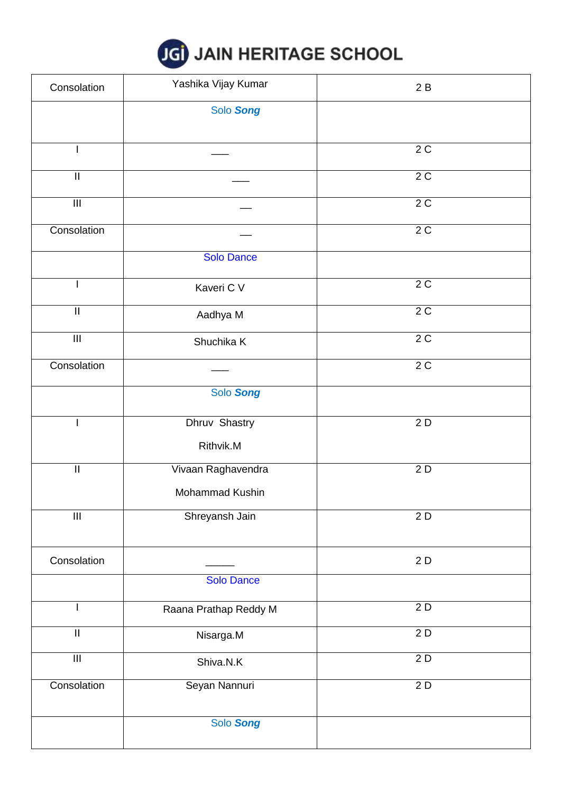

| Consolation                | Yashika Vijay Kumar   | 2B |
|----------------------------|-----------------------|----|
|                            | Solo Song             |    |
|                            |                       | 2C |
| $\mathbf{  }$              |                       | 2C |
| $\overline{\mathsf{III}}$  |                       | 2C |
| Consolation                |                       | 2C |
|                            | <b>Solo Dance</b>     |    |
|                            | Kaveri C V            | 2C |
| $\ensuremath{\mathsf{II}}$ | Aadhya M              | 2C |
| $\overline{\mathbb{H}}$    | Shuchika K            | 2C |
| Consolation                |                       | 2C |
|                            | Solo Song             |    |
|                            | Dhruv Shastry         | 2D |
|                            | Rithvik.M             |    |
| $\ensuremath{\mathsf{II}}$ | Vivaan Raghavendra    | 2D |
|                            | Mohammad Kushin       |    |
| $\overline{\mathbf{III}}$  | Shreyansh Jain        | 2D |
| Consolation                |                       | 2D |
|                            | <b>Solo Dance</b>     |    |
|                            | Raana Prathap Reddy M | 2D |
| $\ensuremath{\mathsf{II}}$ | Nisarga.M             | 2D |
| $\overline{\mathbf{III}}$  | Shiva.N.K             | 2D |
| Consolation                | Seyan Nannuri         | 2D |
|                            | Solo Song             |    |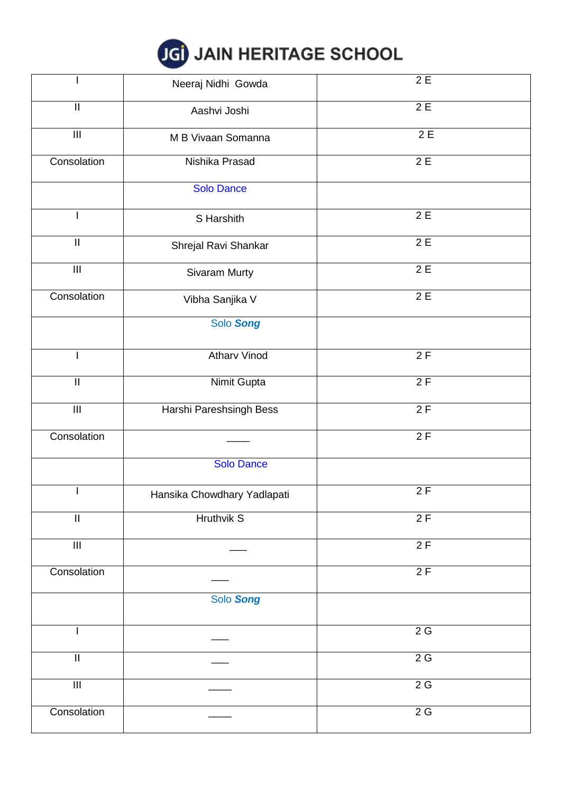|  |  |  |  | JGI JAIN HERITAGE SCHOOL |  |
|--|--|--|--|--------------------------|--|
|--|--|--|--|--------------------------|--|

|                                    | Neeraj Nidhi Gowda          | 2E               |
|------------------------------------|-----------------------------|------------------|
| $\ensuremath{\mathsf{II}}$         | Aashvi Joshi                | 2E               |
| $\ensuremath{\mathsf{III}}\xspace$ | M B Vivaan Somanna          | $\overline{2}$ E |
| Consolation                        | Nishika Prasad              | 2E               |
|                                    | <b>Solo Dance</b>           |                  |
|                                    | S Harshith                  | $\overline{2E}$  |
| $\ensuremath{\mathsf{II}}$         | Shrejal Ravi Shankar        | 2E               |
| $\ensuremath{\mathsf{III}}\xspace$ | Sivaram Murty               | 2E               |
| Consolation                        | Vibha Sanjika V             | 2E               |
|                                    | Solo Song                   |                  |
|                                    | <b>Atharv Vinod</b>         | 2F               |
| $\ensuremath{\mathsf{II}}$         | Nimit Gupta                 | 2F               |
| $\overline{\mathbb{H}}$            | Harshi Pareshsingh Bess     | 2F               |
| Consolation                        |                             | 2F               |
|                                    | <b>Solo Dance</b>           |                  |
|                                    | Hansika Chowdhary Yadlapati | 2F               |
| $\ensuremath{\mathsf{II}}$         | <b>Hruthvik S</b>           | 2F               |
| $\overline{\mathbb{H}}$            |                             | 2F               |
| Consolation                        |                             | 2F               |
|                                    | Solo Song                   |                  |
|                                    |                             | 2G               |
| $\ensuremath{\mathsf{II}}$         |                             | 2G               |
| $\overline{\mathbb{H}}$            |                             | 2G               |
| Consolation                        |                             | 2G               |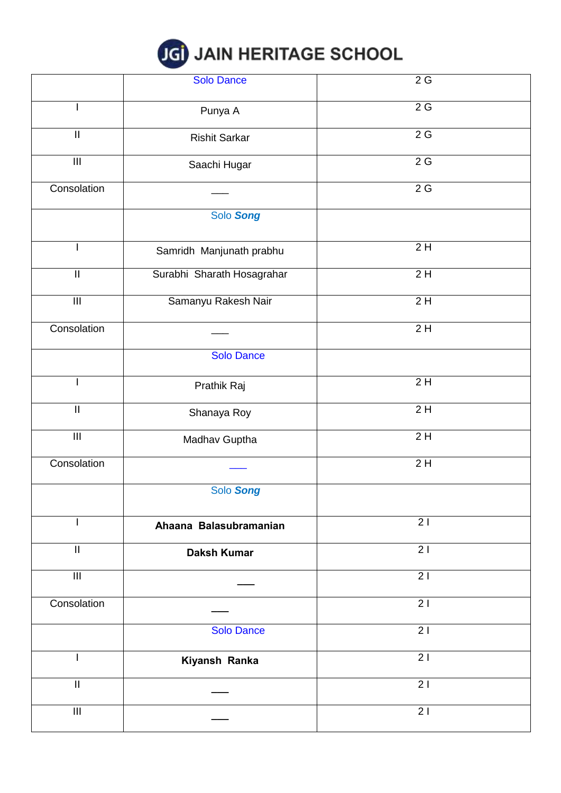

|                            | <b>Solo Dance</b>          | 2G              |
|----------------------------|----------------------------|-----------------|
|                            | Punya A                    | 2G              |
| $\overline{\mathbb{I}}$    | <b>Rishit Sarkar</b>       | 2G              |
| $\overline{\mathsf{III}}$  | Saachi Hugar               | 2G              |
| Consolation                |                            | $2\,\mathrm{G}$ |
|                            | Solo Song                  |                 |
|                            | Samridh Manjunath prabhu   | 2H              |
| $\ensuremath{\mathsf{II}}$ | Surabhi Sharath Hosagrahar | 2H              |
| $\overline{\mathbf{m}}$    | Samanyu Rakesh Nair        | 2H              |
| Consolation                |                            | 2H              |
|                            | <b>Solo Dance</b>          |                 |
|                            | Prathik Raj                | $\overline{2H}$ |
| $\ensuremath{\mathsf{II}}$ | Shanaya Roy                | 2H              |
| $\overline{\mathbb{H}}$    | Madhav Guptha              | 2H              |
| Consolation                |                            | 2H              |
|                            | Solo Song                  |                 |
|                            | Ahaana Balasubramanian     | 21              |
| $\ensuremath{\mathsf{II}}$ | <b>Daksh Kumar</b>         | $\overline{2}$  |
| $\overline{\mathbb{H}}$    |                            | $\overline{2}$  |
| Consolation                |                            | $\overline{2}$  |
|                            | <b>Solo Dance</b>          | 21              |
|                            | Kiyansh Ranka              | 21              |
| $\mathbf{I}$               |                            | 21              |
| $\overline{\mathsf{III}}$  |                            | $\overline{21}$ |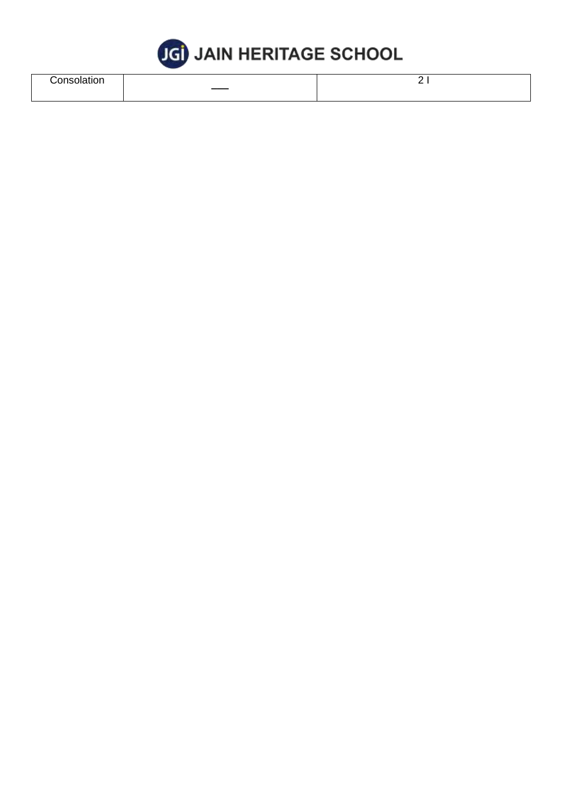

| .<br>,,,,, |     | - |
|------------|-----|---|
|            | ___ |   |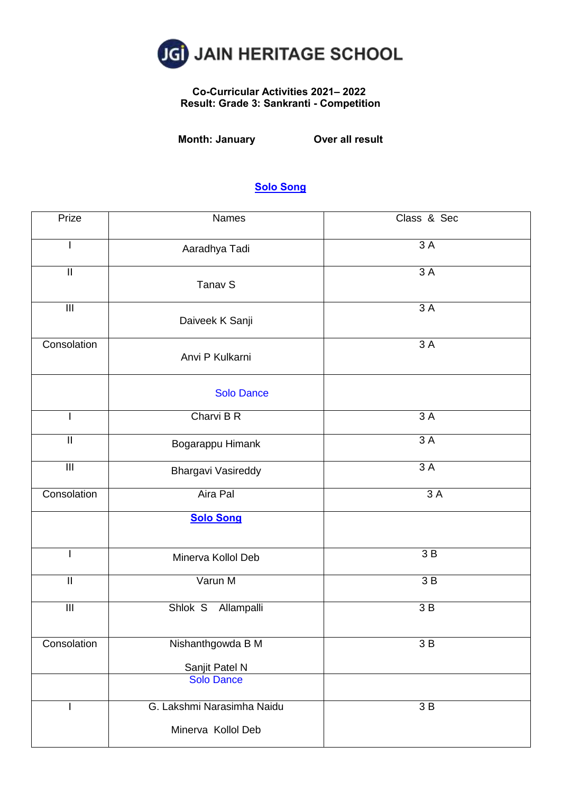

## **Co-Curricular Activities 2021– 2022 Result: Grade 3: Sankranti - Competition**

**Month: January Over all result**

| Prize                              | Names                               | Class & Sec |
|------------------------------------|-------------------------------------|-------------|
|                                    | Aaradhya Tadi                       | 3A          |
| $\ensuremath{\mathsf{II}}$         | Tanav S                             | 3A          |
| $\overline{\mathbb{H}}$            | Daiveek K Sanji                     | 3A          |
| Consolation                        | Anvi P Kulkarni                     | 3 A         |
|                                    | <b>Solo Dance</b>                   |             |
|                                    | Charvi B R                          | 3A          |
| $\ensuremath{\mathsf{II}}$         | Bogarappu Himank                    | 3 A         |
| $\ensuremath{\mathsf{III}}\xspace$ | Bhargavi Vasireddy                  | 3A          |
| Consolation                        | Aira Pal                            | 3A          |
|                                    | <b>Solo Song</b>                    |             |
|                                    | Minerva Kollol Deb                  | 3B          |
| $\mathsf{II}$                      | Varun M                             | 3B          |
| $\overline{\mathbb{H}}$            | Shlok S<br>Allampalli               | 3B          |
| Consolation                        | Nishanthgowda B M                   | $3B$        |
|                                    | Sanjit Patel N<br><b>Solo Dance</b> |             |
|                                    | G. Lakshmi Narasimha Naidu          | 3B          |
|                                    | Minerva Kollol Deb                  |             |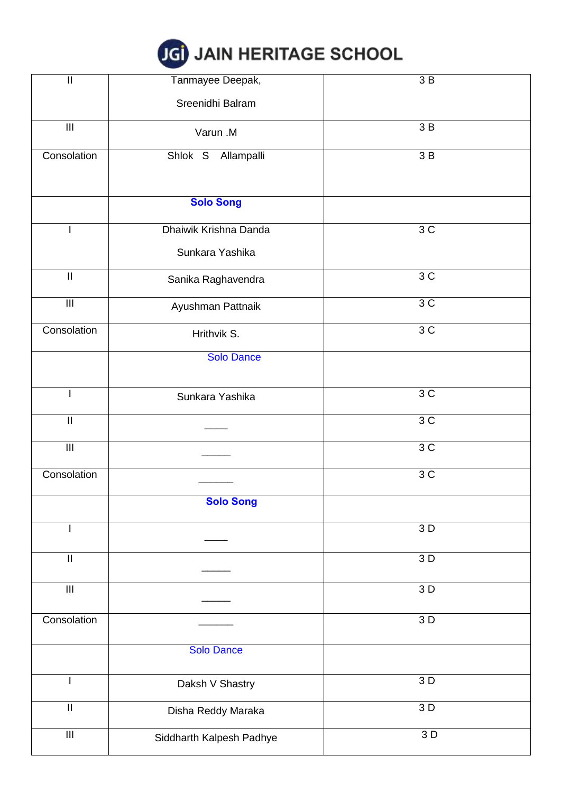

| $\prod_{i=1}^{n}$                  | Tanmayee Deepak,         | 3B   |
|------------------------------------|--------------------------|------|
|                                    | Sreenidhi Balram         |      |
| $\ensuremath{\mathsf{III}}\xspace$ | Varun .M                 | 3 B  |
| Consolation                        | Shlok S<br>Allampalli    | 3 B  |
|                                    |                          |      |
|                                    | <b>Solo Song</b>         |      |
|                                    | Dhaiwik Krishna Danda    | 3C   |
|                                    | Sunkara Yashika          |      |
| $\ensuremath{\mathsf{II}}$         | Sanika Raghavendra       | 3C   |
| $\ensuremath{\mathsf{III}}\xspace$ | Ayushman Pattnaik        | 3C   |
| Consolation                        | Hrithvik S.              | 3 C  |
|                                    | <b>Solo Dance</b>        |      |
|                                    | Sunkara Yashika          | 3C   |
| $\ensuremath{\mathsf{II}}$         |                          | 3C   |
| $\overline{\mathbb{H}}$            |                          | 3C   |
| Consolation                        |                          | 3C   |
|                                    | <b>Solo Song</b>         |      |
|                                    |                          | 3D   |
| $\ensuremath{\mathsf{II}}$         |                          | 3D   |
| $\ensuremath{\mathsf{III}}\xspace$ |                          | 3D   |
| Consolation                        |                          | $3D$ |
|                                    | <b>Solo Dance</b>        |      |
|                                    | Daksh V Shastry          | 3 D  |
| $\mathbf{I}$                       | Disha Reddy Maraka       | 3D   |
| $\ensuremath{\mathsf{III}}\xspace$ | Siddharth Kalpesh Padhye | 3D   |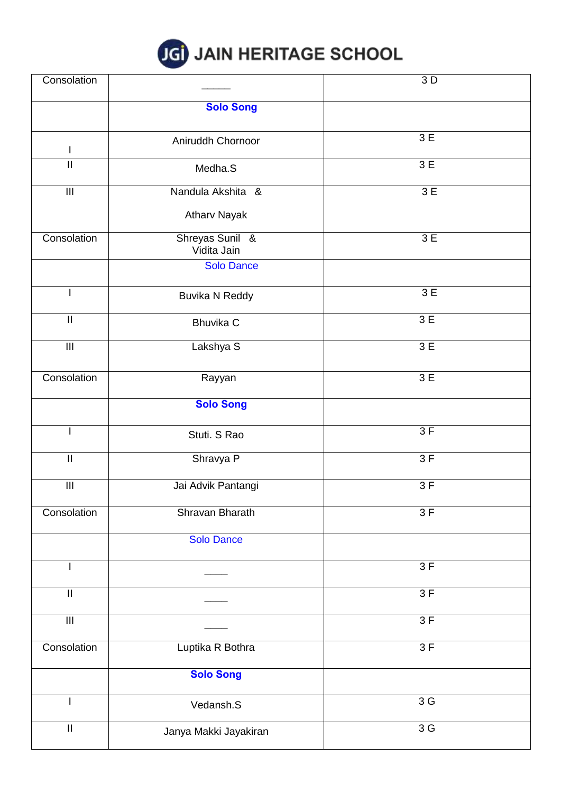

| Consolation                        |                                | $\overline{3}$ D |
|------------------------------------|--------------------------------|------------------|
|                                    | <b>Solo Song</b>               |                  |
|                                    |                                |                  |
|                                    | Aniruddh Chornoor              | 3 E              |
| L                                  |                                |                  |
| $\sf II$                           | Medha.S                        | 3 E              |
| $\overline{\mathbb{H}}$            | Nandula Akshita &              | 3E               |
|                                    | <b>Atharv Nayak</b>            |                  |
| Consolation                        | Shreyas Sunil &<br>Vidita Jain | 3E               |
|                                    | <b>Solo Dance</b>              |                  |
| I                                  | Buvika N Reddy                 | 3E               |
| $\mathbf{II}$                      | <b>Bhuvika C</b>               | 3 E              |
| $\overline{\mathbb{H}}$            | Lakshya S                      | 3 E              |
| Consolation                        | Rayyan                         | 3E               |
|                                    | <b>Solo Song</b>               |                  |
|                                    | Stuti. S Rao                   | 3F               |
| $\mathop{\rm II}\nolimits$         | Shravya P                      | 3F               |
| $\ensuremath{\mathsf{III}}\xspace$ | Jai Advik Pantangi             | 3F               |
| Consolation                        | Shravan Bharath                | 3F               |
|                                    | <b>Solo Dance</b>              |                  |
|                                    |                                | 3F               |
| $\mathop{\rm II}\nolimits$         |                                | 3F               |
| $\ensuremath{\mathsf{III}}\xspace$ |                                | 3F               |
| Consolation                        | Luptika R Bothra               | 3F               |
|                                    | <b>Solo Song</b>               |                  |
|                                    | Vedansh.S                      | $\overline{3}$ G |
| $\mathop{\rm II}\nolimits$         | Janya Makki Jayakiran          | 3G               |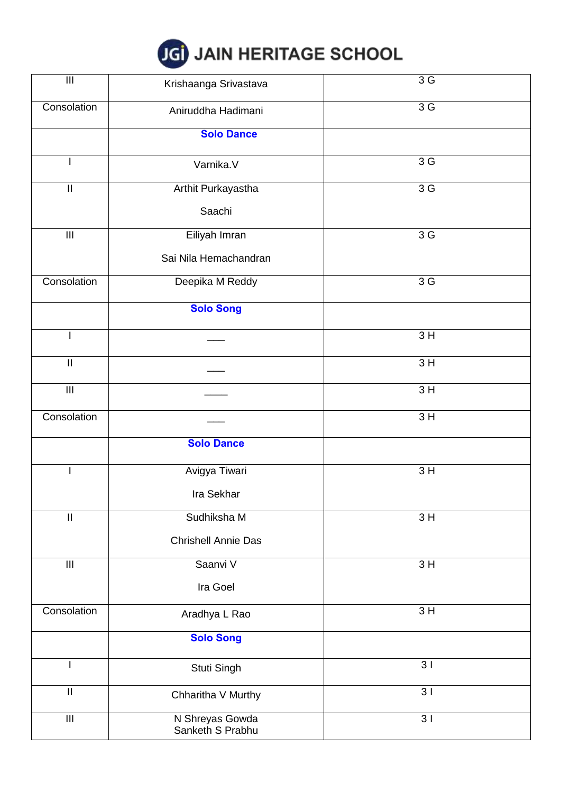

| $\overline{\mathbf{H}}$            | Krishaanga Srivastava               | 3 G            |
|------------------------------------|-------------------------------------|----------------|
| Consolation                        | Aniruddha Hadimani                  | 3 <sub>G</sub> |
|                                    | <b>Solo Dance</b>                   |                |
|                                    | Varnika.V                           | 3 G            |
| $\ensuremath{\mathsf{II}}$         | Arthit Purkayastha                  | 3G             |
|                                    | Saachi                              |                |
| $\ensuremath{\mathsf{III}}\xspace$ | Eiliyah Imran                       | 3 G            |
|                                    | Sai Nila Hemachandran               |                |
| Consolation                        | Deepika M Reddy                     | 3 <sub>G</sub> |
|                                    | <b>Solo Song</b>                    |                |
|                                    |                                     | 3H             |
| $\mathbf{  }$                      |                                     | 3H             |
| $\overline{\mathsf{III}}$          |                                     | 3H             |
| Consolation                        |                                     | 3H             |
|                                    | <b>Solo Dance</b>                   |                |
|                                    | Avigya Tiwari                       | 3H             |
|                                    | Ira Sekhar                          |                |
| $\ensuremath{\mathsf{II}}$         | Sudhiksha M                         | 3H             |
|                                    | <b>Chrishell Annie Das</b>          |                |
| $\mathop{\rm III}$                 | Saanvi V                            | 3H             |
|                                    | Ira Goel                            |                |
| Consolation                        | Aradhya L Rao                       | 3H             |
|                                    | <b>Solo Song</b>                    |                |
| L                                  | Stuti Singh                         | 3 <sub>1</sub> |
| $\mathop{\rm II}\nolimits$         | Chharitha V Murthy                  | 3 <sup>1</sup> |
| $\overline{\mathsf{III}}$          | N Shreyas Gowda<br>Sanketh S Prabhu | 3 <sub>1</sub> |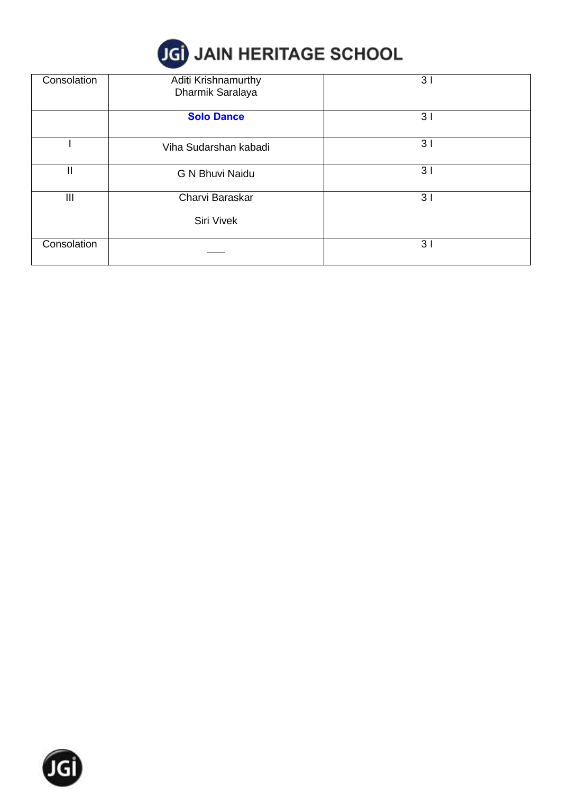

| Consolation | Aditi Krishnamurthy<br>Dharmik Saralaya | 31 |
|-------------|-----------------------------------------|----|
|             | <b>Solo Dance</b>                       | 31 |
|             | Viha Sudarshan kabadi                   | 31 |
| II          | G N Bhuvi Naidu                         | 31 |
| Ш           | Charvi Baraskar                         | 31 |
|             | Siri Vivek                              |    |
| Consolation |                                         | 31 |

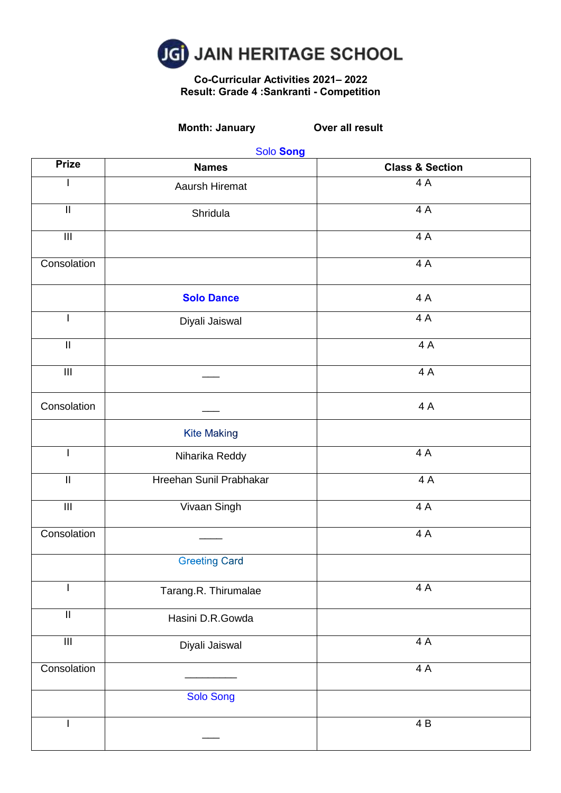

#### **Co-Curricular Activities 2021– 2022 Result: Grade 4 :Sankranti - Competition**

**Month: January Over all result**

| <b>Prize</b>                       | <b>Names</b>            | <b>Class &amp; Section</b> |
|------------------------------------|-------------------------|----------------------------|
|                                    | Aaursh Hiremat          | 4 A                        |
| $\ensuremath{\mathsf{II}}$         | Shridula                | 4A                         |
| $\ensuremath{\mathsf{III}}\xspace$ |                         | 4A                         |
| Consolation                        |                         | 4A                         |
|                                    | <b>Solo Dance</b>       | 4 A                        |
| $\mathbf{I}$                       | Diyali Jaiswal          | 4A                         |
| $\ensuremath{\mathsf{II}}$         |                         | 4A                         |
| $\overline{\mathbb{H}}$            |                         | 4A                         |
| Consolation                        |                         | 4 A                        |
|                                    | <b>Kite Making</b>      |                            |
| L                                  | Niharika Reddy          | 4A                         |
| $\ensuremath{\mathsf{II}}$         | Hreehan Sunil Prabhakar | 4A                         |
| $\overline{\mathbb{H}}$            | Vivaan Singh            | 4A                         |
| Consolation                        |                         | 4A                         |
|                                    | <b>Greeting Card</b>    |                            |
|                                    | Tarang.R. Thirumalae    | 4A                         |
| $\ensuremath{\mathsf{II}}$         | Hasini D.R.Gowda        |                            |
| $\overline{\mathbb{H}}$            | Diyali Jaiswal          | 4A                         |
| Consolation                        |                         | 4 A                        |
|                                    | <b>Solo Song</b>        |                            |
|                                    |                         | 4 B                        |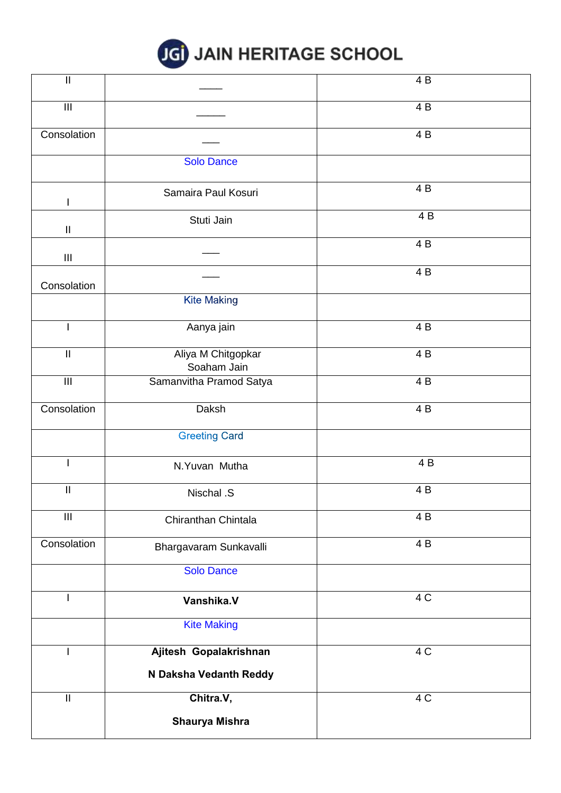

| $\overline{\mathbf{I}}$            |                                    | $\overline{4}B$ |
|------------------------------------|------------------------------------|-----------------|
| $\overline{\mathbb{H}}$            |                                    | $\overline{4B}$ |
| Consolation                        |                                    | 4 B             |
|                                    | <b>Solo Dance</b>                  |                 |
| $\mathsf{l}$                       | Samaira Paul Kosuri                | 4 B             |
| $\sf II$                           | Stuti Jain                         | 4B              |
| $\ensuremath{\mathsf{III}}\xspace$ |                                    | 4 B             |
| Consolation                        |                                    | 4 B             |
|                                    | <b>Kite Making</b>                 |                 |
| ı                                  | Aanya jain                         | 4 B             |
| $\mathop{\rm II}\nolimits$         | Aliya M Chitgopkar<br>Soaham Jain  | $\overline{4B}$ |
| $\overline{\mathbb{H}}$            | Samanvitha Pramod Satya            | 4 B             |
| Consolation                        | Daksh                              | 4 B             |
|                                    | <b>Greeting Card</b>               |                 |
|                                    | N.Yuvan Mutha                      | 4 B             |
| $\sf II$                           | Nischal .S                         | 4B              |
| $\ensuremath{\mathsf{III}}\xspace$ | Chiranthan Chintala                | 4 B             |
| Consolation                        | Bhargavaram Sunkavalli             | 4 B             |
|                                    | <b>Solo Dance</b>                  |                 |
| $\overline{1}$                     | Vanshika.V                         | 4C              |
|                                    | <b>Kite Making</b>                 |                 |
|                                    | Ajitesh Gopalakrishnan             | 4 C             |
|                                    | N Daksha Vedanth Reddy             |                 |
| $\mathop{\rm II}\nolimits$         | Chitra.V,<br><b>Shaurya Mishra</b> | 4 C             |
|                                    |                                    |                 |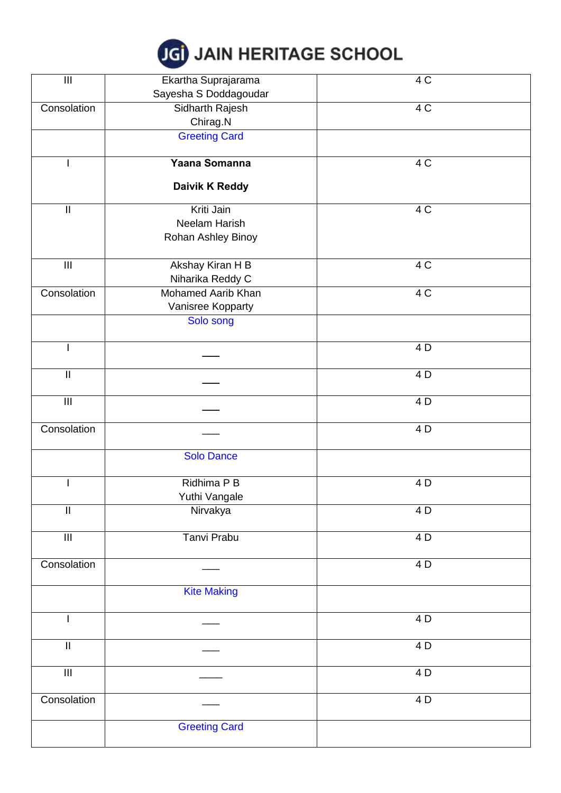

| $\mathbf{III}$             | Ekartha Suprajarama   | 4C              |
|----------------------------|-----------------------|-----------------|
|                            | Sayesha S Doddagoudar |                 |
| Consolation                | Sidharth Rajesh       | 4 C             |
|                            | Chirag.N              |                 |
|                            | <b>Greeting Card</b>  |                 |
|                            |                       |                 |
|                            | Yaana Somanna         | 4C              |
|                            |                       |                 |
|                            | Daivik K Reddy        |                 |
| $\mathop{\rm II}\nolimits$ | Kriti Jain            | 4 C             |
|                            | Neelam Harish         |                 |
|                            | Rohan Ashley Binoy    |                 |
|                            |                       |                 |
| $\mathbf{III}$             | Akshay Kiran H B      | 4 C             |
|                            | Niharika Reddy C      |                 |
| Consolation                | Mohamed Aarib Khan    | 4 C             |
|                            | Vanisree Kopparty     |                 |
|                            | Solo song             |                 |
|                            |                       |                 |
|                            |                       | 4 D             |
|                            |                       |                 |
| $\ensuremath{\mathsf{II}}$ |                       | 4 D             |
|                            |                       |                 |
| $\overline{\mathbb{H}}$    |                       | 4D              |
|                            |                       |                 |
| Consolation                |                       | 4 D             |
|                            |                       |                 |
|                            | Solo Dance            |                 |
|                            |                       |                 |
|                            | Ridhima P B           | 4 D             |
|                            | Yuthi Vangale         |                 |
| $\overline{\mathbb{I}}$    | Nirvakya              | 4 D             |
|                            |                       |                 |
| $\overline{\mathbb{H}}$    | <b>Tanvi Prabu</b>    | 4D              |
|                            |                       |                 |
| Consolation                |                       | $\overline{4D}$ |
|                            |                       |                 |
|                            | <b>Kite Making</b>    |                 |
|                            |                       |                 |
| L                          |                       | 4 D             |
| $\ensuremath{\mathsf{II}}$ |                       | 4 D             |
|                            |                       |                 |
| $\overline{\mathbb{H}}$    |                       | 4 D             |
|                            |                       |                 |
| Consolation                |                       | $\overline{4D}$ |
|                            |                       |                 |
|                            | <b>Greeting Card</b>  |                 |
|                            |                       |                 |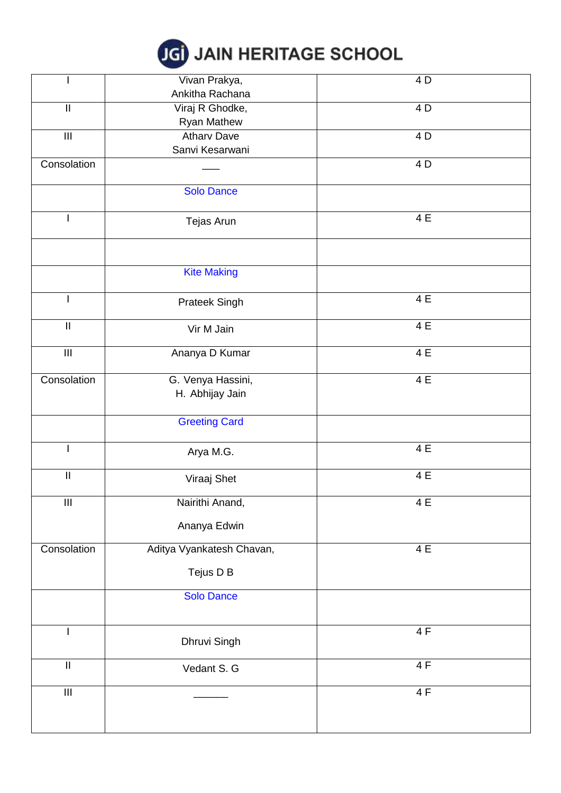# **JGI JAIN HERITAGE SCHOOL**

|                                    | Vivan Prakya,             | 4 D             |
|------------------------------------|---------------------------|-----------------|
|                                    | Ankitha Rachana           |                 |
| $\overline{\mathbb{I}}$            | Viraj R Ghodke,           | 4D              |
|                                    | Ryan Mathew               |                 |
| $\ensuremath{\mathsf{III}}\xspace$ | <b>Atharv Dave</b>        | 4 D             |
|                                    | Sanvi Kesarwani           |                 |
| Consolation                        |                           | 4 D             |
|                                    |                           |                 |
|                                    | <b>Solo Dance</b>         |                 |
|                                    |                           |                 |
| I.                                 | Tejas Arun                | 4 E             |
|                                    |                           |                 |
|                                    |                           |                 |
|                                    | <b>Kite Making</b>        |                 |
|                                    |                           |                 |
| $\mathsf{I}$                       | Prateek Singh             | 4E              |
|                                    |                           |                 |
| $\ensuremath{\mathsf{II}}$         | Vir M Jain                | 4 E             |
|                                    |                           |                 |
| $\ensuremath{\mathsf{III}}\xspace$ | Ananya D Kumar            | $\overline{4E}$ |
|                                    |                           |                 |
| Consolation                        | G. Venya Hassini,         | 4E              |
|                                    | H. Abhijay Jain           |                 |
|                                    | <b>Greeting Card</b>      |                 |
|                                    |                           |                 |
|                                    |                           | 4 E             |
|                                    | Arya M.G.                 |                 |
| $\overline{\mathbb{I}}$            | Viraaj Shet               | 4E              |
|                                    |                           |                 |
| $\overline{\mathbb{H}}$            | Nairithi Anand,           | 4E              |
|                                    | Ananya Edwin              |                 |
|                                    |                           |                 |
| Consolation                        | Aditya Vyankatesh Chavan, | 4E              |
|                                    |                           |                 |
|                                    | Tejus D B                 |                 |
|                                    | <b>Solo Dance</b>         |                 |
|                                    |                           |                 |
|                                    |                           |                 |
|                                    | Dhruvi Singh              | 4F              |
|                                    |                           |                 |
| $\ensuremath{\mathsf{II}}$         | Vedant S. G               | 4F              |
|                                    |                           |                 |
| $\ensuremath{\mathsf{III}}\xspace$ |                           | 4F              |
|                                    |                           |                 |
|                                    |                           |                 |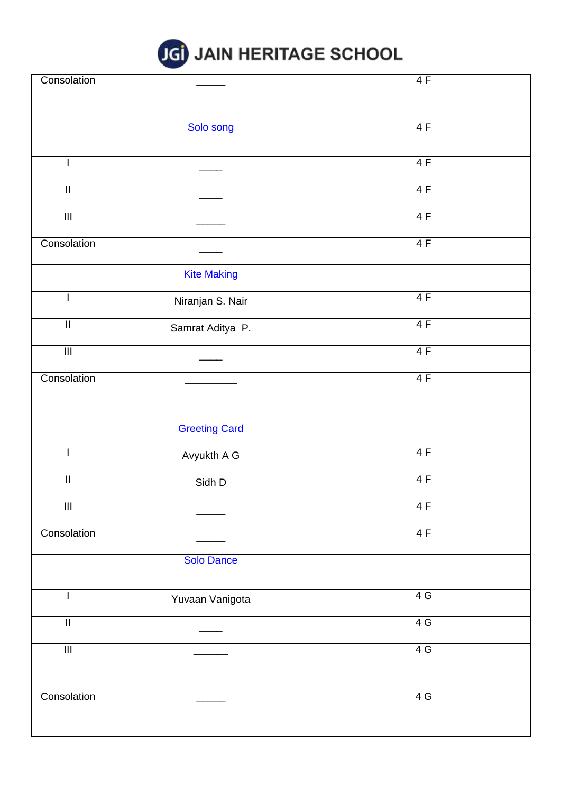

| Consolation             |                      | 4F |
|-------------------------|----------------------|----|
|                         |                      |    |
|                         |                      |    |
|                         | Solo song            | 4F |
|                         |                      |    |
|                         |                      |    |
| $\mathsf{I}$            |                      | 4F |
|                         |                      |    |
| $\overline{\mathbb{I}}$ |                      | 4F |
|                         |                      |    |
| $\overline{\mathbf{m}}$ |                      | 4F |
|                         |                      |    |
| Consolation             |                      | 4F |
|                         |                      |    |
|                         | <b>Kite Making</b>   |    |
| $\overline{1}$          |                      | 4F |
|                         | Niranjan S. Nair     |    |
| $\overline{\mathbb{I}}$ |                      | 4F |
|                         | Samrat Aditya P.     |    |
| $\overline{\mathbb{H}}$ |                      | 4F |
|                         |                      |    |
| Consolation             |                      | 4F |
|                         |                      |    |
|                         |                      |    |
|                         |                      |    |
|                         | <b>Greeting Card</b> |    |
|                         |                      |    |
| $\overline{1}$          | Avyukth A G          | 4F |
| $\overline{\mathbb{I}}$ |                      | 4F |
|                         | Sidh D               |    |
| $\overline{\mathbb{H}}$ |                      | 4F |
|                         |                      |    |
| Consolation             |                      | 4F |
|                         |                      |    |
|                         | <b>Solo Dance</b>    |    |
|                         |                      |    |
|                         |                      |    |
| L                       | Yuvaan Vanigota      | 4G |
|                         |                      |    |
| $\overline{\mathbb{I}}$ |                      | 4G |
|                         |                      |    |
| $\overline{\mathbf{m}}$ |                      | 4G |
|                         |                      |    |
|                         |                      |    |
| Consolation             |                      | 4G |
|                         |                      |    |
|                         |                      |    |
|                         |                      |    |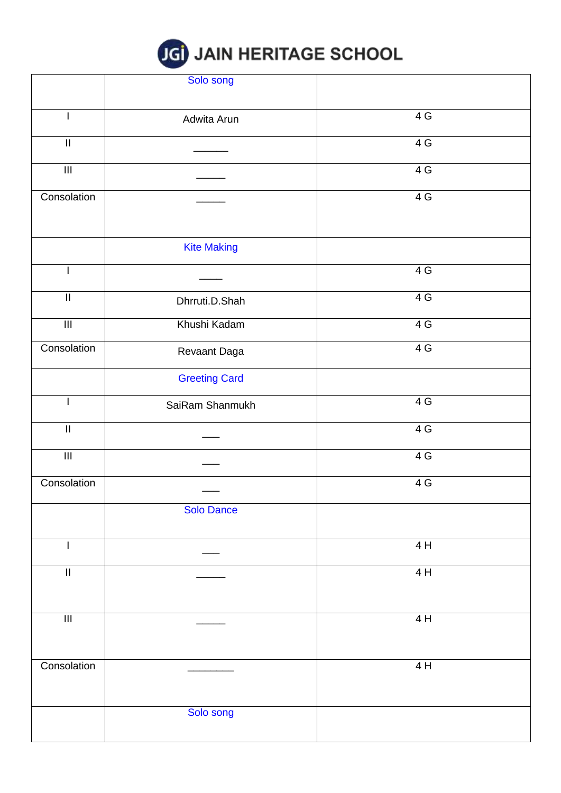

|                            | Solo song            |     |
|----------------------------|----------------------|-----|
|                            |                      |     |
|                            | Adwita Arun          | 4G  |
| $\overline{\mathbb{I}}$    |                      | 4G  |
|                            |                      |     |
| $\overline{\mathbb{H}}$    |                      | 4G  |
| Consolation                |                      | 4G  |
|                            |                      |     |
|                            | <b>Kite Making</b>   |     |
|                            |                      | 4G  |
| $\ensuremath{\mathsf{II}}$ | Dhrruti.D.Shah       | 4G  |
| $\overline{\mathbb{H}}$    | Khushi Kadam         | 4G  |
| Consolation                | Revaant Daga         | 4G  |
|                            | <b>Greeting Card</b> |     |
|                            | SaiRam Shanmukh      | 4G  |
| $\mathop{\rm II}\nolimits$ |                      | 4G  |
| $\overline{\mathbb{H}}$    |                      | 4G  |
| Consolation                |                      | 4 G |
|                            | <b>Solo Dance</b>    |     |
| ı                          |                      | 4 H |
| $\overline{\mathbb{I}}$    |                      | 4H  |
|                            |                      |     |
| $\overline{\mathbb{H}}$    |                      | 4H  |
|                            |                      |     |
| Consolation                |                      | 4H  |
|                            |                      |     |
|                            | Solo song            |     |
|                            |                      |     |